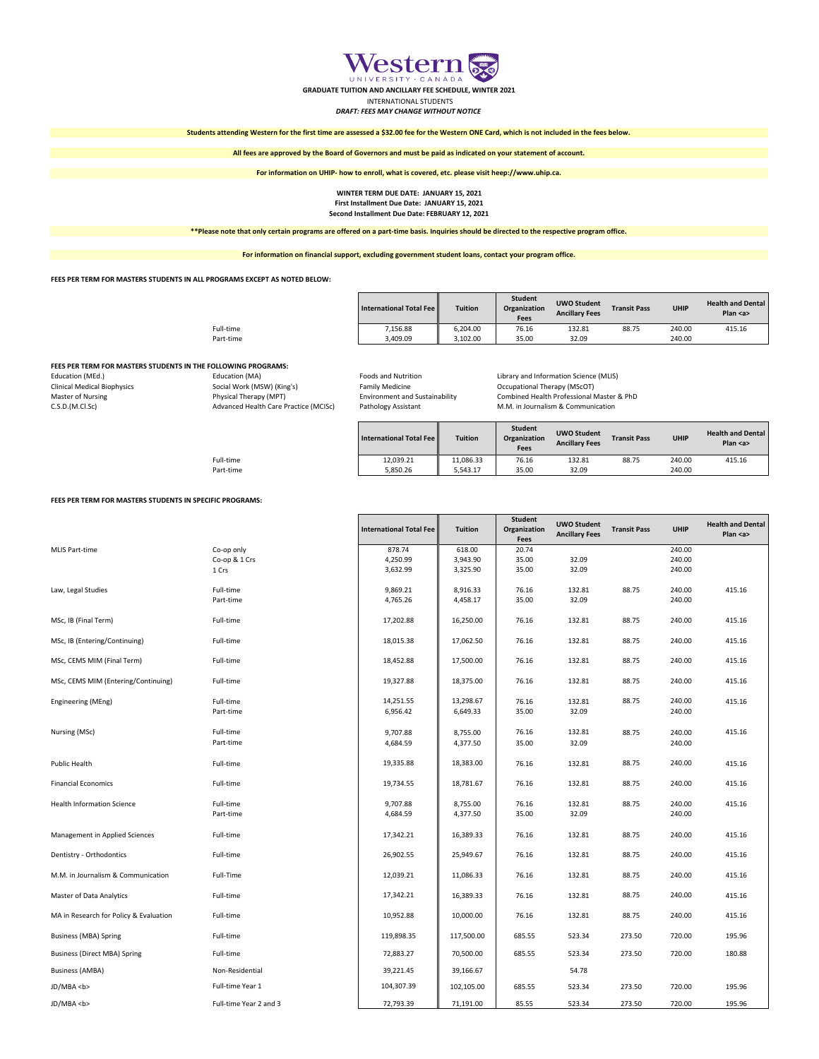|           | <b>International Total Fee   </b> | <b>Tuition</b> | <b>Student</b><br>Organization<br><b>Fees</b> | <b>UWO Student</b><br><b>Ancillary Fees</b> | <b>Transit Pass</b> | <b>UHIP</b> | <b>Health and Dental</b><br>Plan $$ |
|-----------|-----------------------------------|----------------|-----------------------------------------------|---------------------------------------------|---------------------|-------------|-------------------------------------|
| Full-time | 7,156.88                          | 6,204.00       | 76.16                                         | 132.81                                      | 88.75               | 240.00      | 415.16                              |
| Part-time | 3,409.09                          | 3,102.00       | 35.00                                         | 32.09                                       |                     | 240.00      |                                     |

## **FEES PER TERM FOR MASTERS STUDENTS IN THE FOLLOWING PROGRAMS:**

| Education (MEd.)                   | Education (MA)                        |
|------------------------------------|---------------------------------------|
| <b>Clinical Medical Biophysics</b> | Social Work (MSW) (King's)            |
| Master of Nursing                  | Physical Therapy (MPT)                |
| C.S.D.(M.CI.Sc)                    | Advanced Health Care Practice (MCISc) |

Family Medicine **Biophysics Social Medicine** Cocupational Therapy (MScOT) Pathology Assistant **M.M.** in Journalism & Communication

Foods and Nutrition **Education 12 Foods and Nutrition** Library and Information Science (MLIS) Environment and Sustainability (Master 2005) Combined Health Professional Master & PhD

|           | International Total Fee | <b>Tuition</b> | <b>Student</b><br>Organization<br><b>Fees</b> | <b>UWO Student</b><br><b>Ancillary Fees</b> | <b>Transit Pass</b> | <b>UHIP</b> | <b>Health and Dental</b><br>Plan $\leq a$ |
|-----------|-------------------------|----------------|-----------------------------------------------|---------------------------------------------|---------------------|-------------|-------------------------------------------|
| Full-time | 12,039.21               | 11,086.33      | 76.16                                         | 132.81                                      | 88.75               | 240.00      | 415.16                                    |
| Part-time | 5,850.26                | 5,543.17       | 35.00                                         | 32.09                                       |                     | 240.00      |                                           |

#### **FEES PER TERM FOR MASTERS STUDENTS IN SPECIFIC PROGRAMS:**

|                       |               | <b>International Total Fee</b> | <b>Tuition</b> | <b>Student</b><br>Organization<br><b>Fees</b> | UWO Student<br><b>Ancillary Fees</b> | <b>Transit Pass</b> | <b>UHIP</b> | <b>Health and Dental</b><br>Plan $$ |
|-----------------------|---------------|--------------------------------|----------------|-----------------------------------------------|--------------------------------------|---------------------|-------------|-------------------------------------|
| <b>MLIS Part-time</b> | Co-op only    | 878.74                         | 618.00         | 20.74                                         |                                      |                     | 240.00      |                                     |
|                       | Co-op & 1 Crs | 4,250.99                       | 3,943.90       | 35.00                                         | 32.09                                |                     | 240.00      |                                     |
|                       | 1 Crs         | 3,632.99                       | 3,325.90       | 35.00                                         | 32.09                                |                     | 240.00      |                                     |
| Law, Legal Studies    | Full-time     | 9,869.21                       | 8,916.33       | 76.16                                         | 132.81                               | 88.75               | 240.00      | 415.16                              |
|                       | Part-time     | 4,765.26                       | 4,458.17       | 35.00                                         | 32.09                                |                     | 240.00      |                                     |
| MSc, IB (Final Term)  | Full-time     | 17,202.88                      | 16,250.00      | 76.16                                         | 132.81                               | 88.75               | 240.00      | 415.16                              |

| MSc, IB (Entering/Continuing)          | Full-time              | 18,015.38             | 17,062.50             | 76.16          | 132.81          | 88.75  | 240.00           | 415.16 |
|----------------------------------------|------------------------|-----------------------|-----------------------|----------------|-----------------|--------|------------------|--------|
| MSc, CEMS MIM (Final Term)             | Full-time              | 18,452.88             | 17,500.00             | 76.16          | 132.81          | 88.75  | 240.00           | 415.16 |
| MSc, CEMS MIM (Entering/Continuing)    | Full-time              | 19,327.88             | 18,375.00             | 76.16          | 132.81          | 88.75  | 240.00           | 415.16 |
| Engineering (MEng)                     | Full-time<br>Part-time | 14,251.55<br>6,956.42 | 13,298.67<br>6,649.33 | 76.16<br>35.00 | 132.81<br>32.09 | 88.75  | 240.00<br>240.00 | 415.16 |
| Nursing (MSc)                          | Full-time<br>Part-time | 9,707.88<br>4,684.59  | 8,755.00<br>4,377.50  | 76.16<br>35.00 | 132.81<br>32.09 | 88.75  | 240.00<br>240.00 | 415.16 |
| Public Health                          | Full-time              | 19,335.88             | 18,383.00             | 76.16          | 132.81          | 88.75  | 240.00           | 415.16 |
| <b>Financial Economics</b>             | Full-time              | 19,734.55             | 18,781.67             | 76.16          | 132.81          | 88.75  | 240.00           | 415.16 |
| <b>Health Information Science</b>      | Full-time<br>Part-time | 9,707.88<br>4,684.59  | 8,755.00<br>4,377.50  | 76.16<br>35.00 | 132.81<br>32.09 | 88.75  | 240.00<br>240.00 | 415.16 |
| Management in Applied Sciences         | Full-time              | 17,342.21             | 16,389.33             | 76.16          | 132.81          | 88.75  | 240.00           | 415.16 |
| Dentistry - Orthodontics               | Full-time              | 26,902.55             | 25,949.67             | 76.16          | 132.81          | 88.75  | 240.00           | 415.16 |
| M.M. in Journalism & Communication     | Full-Time              | 12,039.21             | 11,086.33             | 76.16          | 132.81          | 88.75  | 240.00           | 415.16 |
| <b>Master of Data Analytics</b>        | Full-time              | 17,342.21             | 16,389.33             | 76.16          | 132.81          | 88.75  | 240.00           | 415.16 |
| MA in Research for Policy & Evaluation | Full-time              | 10,952.88             | 10,000.00             | 76.16          | 132.81          | 88.75  | 240.00           | 415.16 |
| <b>Business (MBA) Spring</b>           | Full-time              | 119,898.35            | 117,500.00            | 685.55         | 523.34          | 273.50 | 720.00           | 195.96 |
| <b>Business (Direct MBA) Spring</b>    | Full-time              | 72,883.27             | 70,500.00             | 685.55         | 523.34          | 273.50 | 720.00           | 180.88 |
| <b>Business (AMBA)</b>                 | Non-Residential        | 39,221.45             | 39,166.67             |                | 54.78           |        |                  |        |
| JD/MBA <b></b>                         | Full-time Year 1       | 104,307.39            | 102,105.00            | 685.55         | 523.34          | 273.50 | 720.00           | 195.96 |
| JD/MBA <b></b>                         | Full-time Year 2 and 3 | 72,793.39             | 71,191.00             | 85.55          | 523.34          | 273.50 | 720.00           | 195.96 |

**For information on UHIP- how to enroll, what is covered, etc. please visit heep://www.uhip.ca.**

**FEES PER TERM FOR MASTERS STUDENTS IN ALL PROGRAMS EXCEPT AS NOTED BELOW:**

# **Students attending Western for the first time are assessed a \$32.00 fee for the Western ONE Card, which is not included in the fees below.**

**\*\*Please note that only certain programs are offered on a part-time basis. Inquiries should be directed to the respective program office.** 

**For information on financial support, excluding government student loans, contact your program office.**

**WINTER TERM DUE DATE: JANUARY 15, 2021 First Installment Due Date: JANUARY 15, 2021 Second Installment Due Date: FEBRUARY 12, 2021**



#### **GRADUATE TUITION AND ANCILLARY FEE SCHEDULE, WINTER 2021**

## INTERNATIONAL STUDENTS

*DRAFT: FEES MAY CHANGE WITHOUT NOTICE*

# **All fees are approved by the Board of Governors and must be paid as indicated on your statement of account.**